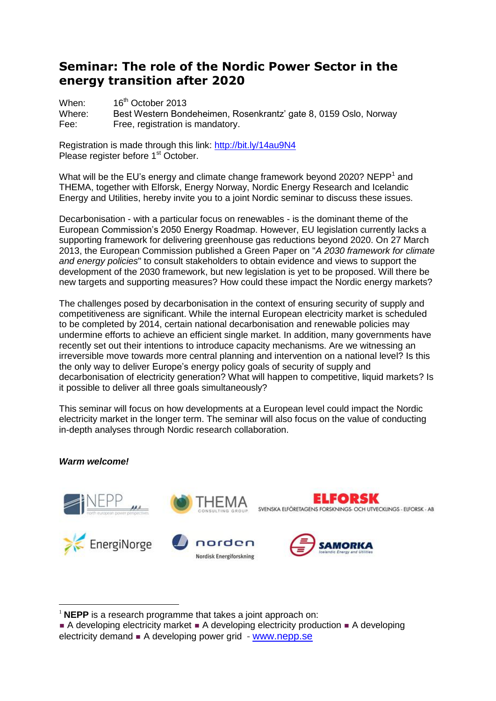# **Seminar: The role of the Nordic Power Sector in the energy transition after 2020**

When: 16<sup>th</sup> October 2013 Where: Best Western Bondeheimen, Rosenkrantz' gate 8, 0159 Oslo, Norway Fee: Free, registration is mandatory.

Registration is made through this link: <http://bit.ly/14au9N4> Please register before 1<sup>st</sup> October.

What will be the EU's energy and climate change framework beyond 2020? NEPP<sup>1</sup> and THEMA, together with Elforsk, Energy Norway, Nordic Energy Research and Icelandic Energy and Utilities, hereby invite you to a joint Nordic seminar to discuss these issues.

Decarbonisation - with a particular focus on renewables - is the dominant theme of the European Commission's 2050 Energy Roadmap. However, EU legislation currently lacks a supporting framework for delivering greenhouse gas reductions beyond 2020. On 27 March 2013, the European Commission published a Green Paper on "*A 2030 framework for climate and energy policies*" to consult stakeholders to obtain evidence and views to support the development of the 2030 framework, but new legislation is yet to be proposed. Will there be new targets and supporting measures? How could these impact the Nordic energy markets?

The challenges posed by decarbonisation in the context of ensuring security of supply and competitiveness are significant. While the internal European electricity market is scheduled to be completed by 2014, certain national decarbonisation and renewable policies may undermine efforts to achieve an efficient single market. In addition, many governments have recently set out their intentions to introduce capacity mechanisms. Are we witnessing an irreversible move towards more central planning and intervention on a national level? Is this the only way to deliver Europe's energy policy goals of security of supply and decarbonisation of electricity generation? What will happen to competitive, liquid markets? Is it possible to deliver all three goals simultaneously?

This seminar will focus on how developments at a European level could impact the Nordic electricity market in the longer term. The seminar will also focus on the value of conducting in-depth analyses through Nordic research collaboration.

## *Warm welcome!*

 $\overline{a}$ 



<sup>&</sup>lt;sup>1</sup> NEPP is a research programme that takes a joint approach on:

A developing electricity market  $\blacksquare$  A developing electricity production  $\blacksquare$  A developing electricity demand  $\blacksquare$  A developing power grid - [www.nepp.se](http://www.nepp.se/)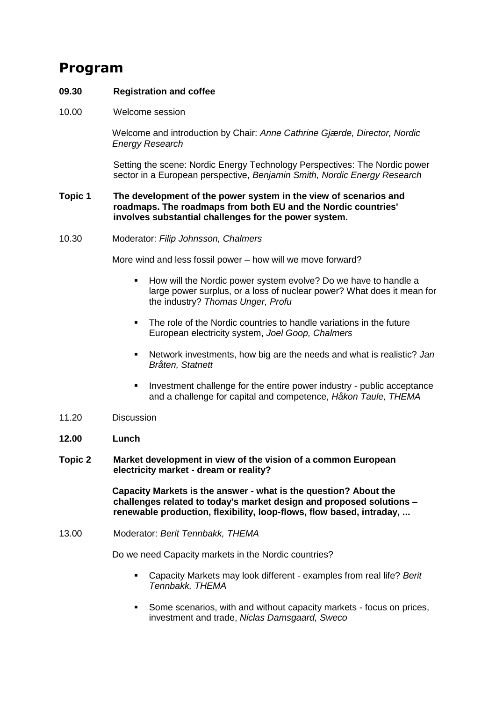# **Program**

#### **09.30 Registration and coffee**

10.00 Welcome session

Welcome and introduction by Chair: *Anne Cathrine Gjærde, Director, Nordic Energy Research*

Setting the scene: Nordic Energy Technology Perspectives: The Nordic power sector in a European perspective, *Benjamin Smith, Nordic Energy Research*

#### **Topic 1 The development of the power system in the view of scenarios and roadmaps. The roadmaps from both EU and the Nordic countries' involves substantial challenges for the power system.**

10.30 Moderator: *Filip Johnsson, Chalmers*

More wind and less fossil power – how will we move forward?

- **How will the Nordic power system evolve? Do we have to handle a** large power surplus, or a loss of nuclear power? What does it mean for the industry? *Thomas Unger, Profu*
- The role of the Nordic countries to handle variations in the future European electricity system, *Joel Goop, Chalmers*
- Network investments, how big are the needs and what is realistic? *Jan Bråten, Statnett*
- **Investment challenge for the entire power industry public acceptance** and a challenge for capital and competence, *Håkon Taule, THEMA*
- 11.20 Discussion
- **12.00 Lunch**
- **Topic 2 Market development in view of the vision of a common European electricity market - dream or reality?**

**Capacity Markets is the answer - what is the question? About the challenges related to today's market design and proposed solutions – renewable production, flexibility, loop-flows, flow based, intraday, ...**

13.00 Moderator: *Berit Tennbakk, THEMA*

Do we need Capacity markets in the Nordic countries?

- Capacity Markets may look different examples from real life? *Berit Tennbakk, THEMA*
- Some scenarios, with and without capacity markets focus on prices, investment and trade, *Niclas Damsgaard, Sweco*